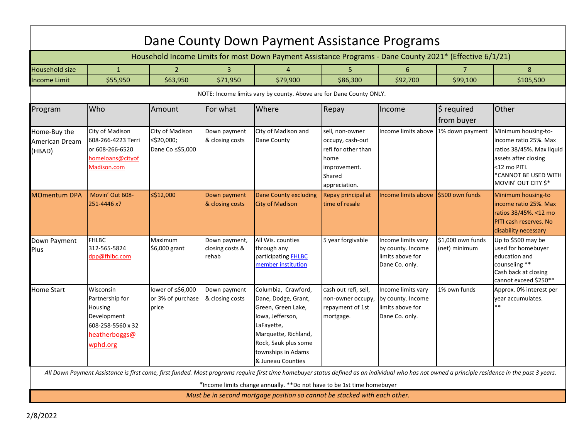| Dane County Down Payment Assistance Programs                                                                                                                                                                                                                               |                                                                                                                 |                                                   |                                           |                                                                                                                                                                                               |                                                                                                               |                                                                               |                                    |                                                                                                                                                                  |  |  |  |  |
|----------------------------------------------------------------------------------------------------------------------------------------------------------------------------------------------------------------------------------------------------------------------------|-----------------------------------------------------------------------------------------------------------------|---------------------------------------------------|-------------------------------------------|-----------------------------------------------------------------------------------------------------------------------------------------------------------------------------------------------|---------------------------------------------------------------------------------------------------------------|-------------------------------------------------------------------------------|------------------------------------|------------------------------------------------------------------------------------------------------------------------------------------------------------------|--|--|--|--|
| Household Income Limits for most Down Payment Assistance Programs - Dane County 2021* (Effective 6/1/21)                                                                                                                                                                   |                                                                                                                 |                                                   |                                           |                                                                                                                                                                                               |                                                                                                               |                                                                               |                                    |                                                                                                                                                                  |  |  |  |  |
| Household size                                                                                                                                                                                                                                                             | $\mathbf{1}$                                                                                                    | 2                                                 | $\mathbf{3}$                              | 4                                                                                                                                                                                             | 5                                                                                                             | 6                                                                             | $\overline{7}$                     | 8                                                                                                                                                                |  |  |  |  |
| <b>Income Limit</b>                                                                                                                                                                                                                                                        | \$55,950                                                                                                        | \$63,950                                          | \$71,950                                  | \$79,900                                                                                                                                                                                      | \$86,300                                                                                                      | \$92,700                                                                      | \$99,100                           | \$105,500                                                                                                                                                        |  |  |  |  |
| NOTE: Income limits vary by county. Above are for Dane County ONLY.                                                                                                                                                                                                        |                                                                                                                 |                                                   |                                           |                                                                                                                                                                                               |                                                                                                               |                                                                               |                                    |                                                                                                                                                                  |  |  |  |  |
| Program                                                                                                                                                                                                                                                                    | Who                                                                                                             | Amount                                            | For what                                  | Where                                                                                                                                                                                         | Repay                                                                                                         | Income                                                                        | \$ required<br>from buyer          | Other                                                                                                                                                            |  |  |  |  |
| Home-Buy the<br>American Dream<br>(HBAD)                                                                                                                                                                                                                                   | City of Madison<br>608-266-4223 Terri<br>or 608-266-6520<br>homeloans@cityof<br>Madison.com                     | City of Madison<br>≤\$20,000;<br>Dane Co ≤\$5,000 | Down payment<br>& closing costs           | City of Madison and<br>Dane County                                                                                                                                                            | sell, non-owner<br>occupy, cash-out<br>refi for other than<br>home<br>improvement.<br>Shared<br>appreciation. | Income limits above                                                           | 1% down payment                    | Minimum housing-to-<br>income ratio 25%. Max<br>ratios 38/45%. Max liquid<br>assets after closing<br><12 mo PITI.<br>*CANNOT BE USED WITH<br>MOVIN' OUT CITY \$* |  |  |  |  |
| <b>MOmentum DPA</b>                                                                                                                                                                                                                                                        | Movin' Out 608-<br>251-4446 x7                                                                                  | ≤\$12,000                                         | Down payment<br>& closing costs           | <b>Dane County excluding</b><br><b>City of Madison</b>                                                                                                                                        | Repay principal at<br>time of resale                                                                          | Income limits above                                                           | S500 own funds                     | Minimum housing-to<br>income ratio 25%. Max<br>ratios 38/45%. <12 mo<br>PITI cash reserves. No<br>disability necessary                                           |  |  |  |  |
| Down Payment<br>Plus                                                                                                                                                                                                                                                       | <b>FHLBC</b><br>312-565-5824<br>dpp@fhlbc.com                                                                   | Maximum<br>\$6,000 grant                          | Down payment,<br>closing costs &<br>rehab | All Wis, counties<br>through any<br>participating FHLBC<br>member institution                                                                                                                 | 5 year forgivable                                                                                             | Income limits vary<br>by county. Income<br>limits above for<br>Dane Co. only. | \$1,000 own funds<br>(net) minimum | Up to \$500 may be<br>used for homebuyer<br>education and<br>counseling **<br>Cash back at closing<br>cannot exceed \$250**                                      |  |  |  |  |
| <b>Home Start</b>                                                                                                                                                                                                                                                          | <b>Wisconsin</b><br>Partnership for<br>Housing<br>Development<br>608-258-5560 x 32<br>heatherboggs@<br>wphd.org | lower of ≤\$6,000<br>or 3% of purchase<br>price   | Down payment<br>& closing costs           | Columbia, Crawford,<br>Dane, Dodge, Grant,<br>Green, Green Lake,<br>lowa, Jefferson,<br>LaFayette,<br>Marquette, Richland,<br>Rock, Sauk plus some<br>townships in Adams<br>& Juneau Counties | cash out refi, sell,<br>non-owner occupy,<br>repayment of 1st<br>mortgage.                                    | Income limits vary<br>by county. Income<br>limits above for<br>Dane Co. only. | 1% own funds                       | Approx. 0% interest per<br>year accumulates.<br>**                                                                                                               |  |  |  |  |
| All Down Payment Assistance is first come, first funded. Most programs require first time homebuyer status defined as an individual who has not owned a principle residence in the past 3 years.<br>*Income limits change annually. **Do not have to be 1st time homebuyer |                                                                                                                 |                                                   |                                           |                                                                                                                                                                                               |                                                                                                               |                                                                               |                                    |                                                                                                                                                                  |  |  |  |  |
| Must be in second mortgage position so cannot be stacked with each other.                                                                                                                                                                                                  |                                                                                                                 |                                                   |                                           |                                                                                                                                                                                               |                                                                                                               |                                                                               |                                    |                                                                                                                                                                  |  |  |  |  |